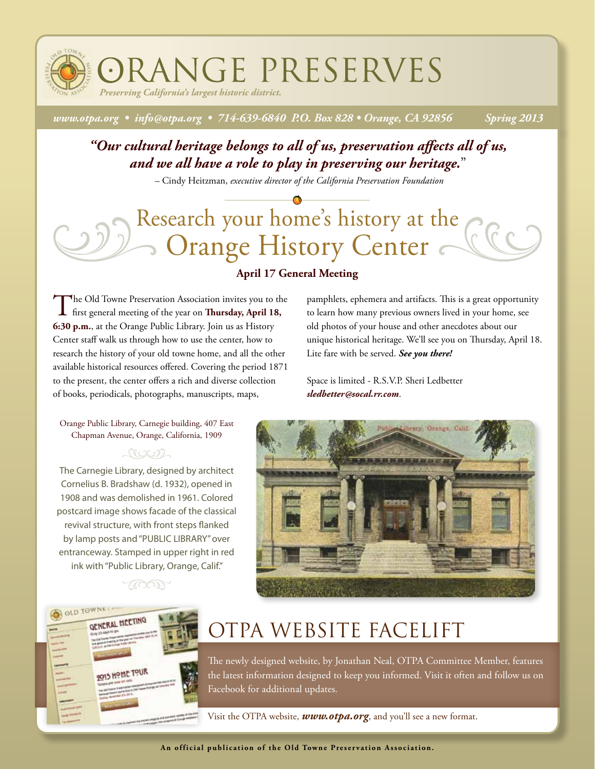ORANGE PRESERVES

*Preserving California's largest historic district.*

*www.otpa.org • info@otpa.org • 714-639-6840 P.O. Box 828 • Orange, CA 92856 Spring 2013*

### *"Our cultural heritage belongs to all of us, preservation affects all of us, and we all have a role to play in preserving our heritage.*"

– Cindy Heitzman, *executive director of the California Preservation Foundation*

# Research your home's history at the Orange History Center

The Old Towne Preservation Association invites you to the The Old Towne Preservation Association invites you to the first general meeting of the year on **Thursday, April 18, 6:30 p.m.**, at the Orange Public Library. Join us as History Center staff walk us through how to use the center, how to research the history of your old towne home, and all the other available historical resources offered. Covering the period 1871 to the present, the center offers a rich and diverse collection of books, periodicals, photographs, manuscripts, maps,

### **April 17 General Meeting**

pamphlets, ephemera and artifacts. This is a great opportunity to learn how many previous owners lived in your home, see old photos of your house and other anecdotes about our unique historical heritage. We'll see you on Thursday, April 18. Lite fare with be served. *See you there!*

Space is limited - R.S.V.P. Sheri Ledbetter *sledbetter@socal.rr.com*.

Orange Public Library, Carnegie building, 407 East Chapman Avenue, Orange, California, 1909

### へいしむり

The Carnegie Library, designed by architect Cornelius B. Bradshaw (d. 1932), opened in 1908 and was demolished in 1961. Colored postcard image shows facade of the classical revival structure, with front steps flanked by lamp posts and "PUBLIC LIBRARY" over entranceway. Stamped in upper right in red ink with "Public Library, Orange, Calif."

<u> 1.1001)</u>

OLD TOWNER

**QENERAL MEETING** 



### OTPA Website Facelift

The newly designed website, by Jonathan Neal, OTPA Committee Member, features the latest information designed to keep you informed. Visit it often and follow us on Facebook for additional updates.

Visit the OTPA website, *www.otpa.org*, and you'll see a new format.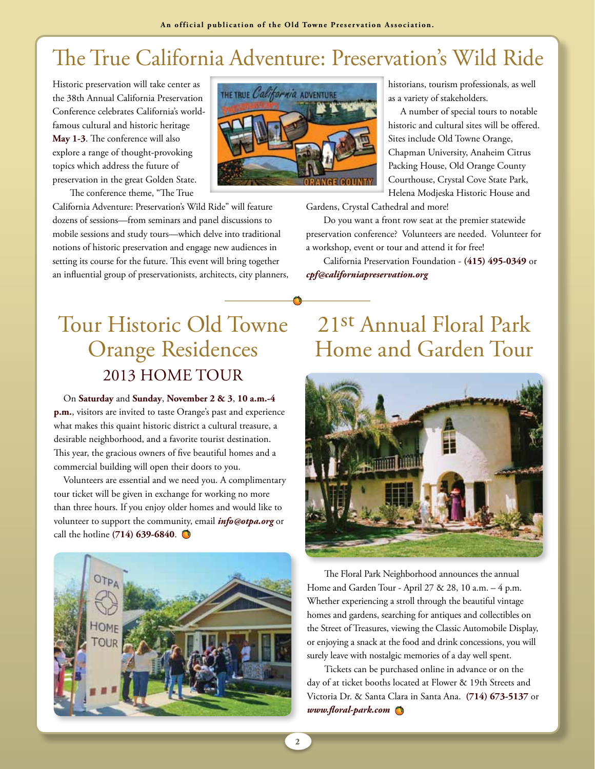## The True California Adventure: Preservation's Wild Ride

Historic preservation will take center as the 38th Annual California Preservation Conference celebrates California's worldfamous cultural and historic heritage **May 1-3**. The conference will also explore a range of thought-provoking topics which address the future of preservation in the great Golden State. The conference theme, "The True

California Adventure: Preservation's Wild Ride" will feature dozens of sessions—from seminars and panel discussions to mobile sessions and study tours—which delve into traditional notions of historic preservation and engage new audiences in setting its course for the future. This event will bring together an influential group of preservationists, architects, city planners,



historians, tourism professionals, as well as a variety of stakeholders.

 A number of special tours to notable historic and cultural sites will be offered. Sites include Old Towne Orange, Chapman University, Anaheim Citrus Packing House, Old Orange County Courthouse, Crystal Cove State Park, Helena Modjeska Historic House and

Gardens, Crystal Cathedral and more!

Do you want a front row seat at the premier statewide preservation conference? Volunteers are needed. Volunteer for a workshop, event or tour and attend it for free!

California Preservation Foundation - **(415) 495-0349** or *cpf@californiapreservation.org*

### Tour Historic Old Towne Orange Residences 2013 Home Tour

On **Saturday** and **Sunday**, **November 2 & 3**, **10 a.m.-4 p.m.**, visitors are invited to taste Orange's past and experience what makes this quaint historic district a cultural treasure, a desirable neighborhood, and a favorite tourist destination. This year, the gracious owners of five beautiful homes and a commercial building will open their doors to you.

Volunteers are essential and we need you. A complimentary tour ticket will be given in exchange for working no more than three hours. If you enjoy older homes and would like to volunteer to support the community, email *info@otpa.org* or call the hotline **(714) 639-6840**.



### 21st Annual Floral Park Home and Garden Tour



The Floral Park Neighborhood announces the annual Home and Garden Tour - April 27 & 28, 10 a.m. – 4 p.m. Whether experiencing a stroll through the beautiful vintage homes and gardens, searching for antiques and collectibles on the Street of Treasures, viewing the Classic Automobile Display, or enjoying a snack at the food and drink concessions, you will surely leave with nostalgic memories of a day well spent.

Tickets can be purchased online in advance or on the day of at ticket booths located at Flower & 19th Streets and Victoria Dr. & Santa Clara in Santa Ana. **(714) 673-5137** or *www.floral-park.com*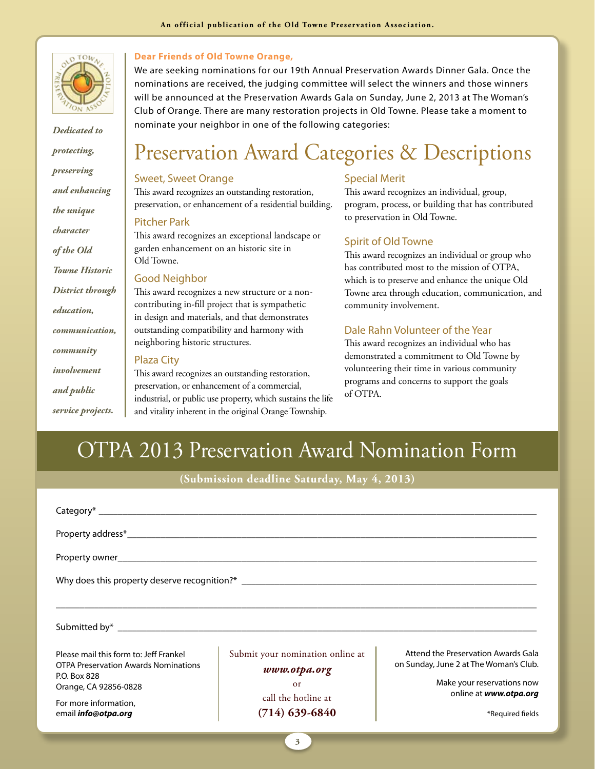

*Dedicated to protecting, preserving and enhancing the unique character of the Old Towne Historic District through education, communication, community involvement and public* 

*service projects.*

#### **Dear Friends of Old Towne Orange,**

We are seeking nominations for our 19th Annual Preservation Awards Dinner Gala. Once the nominations are received, the judging committee will select the winners and those winners will be announced at the Preservation Awards Gala on Sunday, June 2, 2013 at The Woman's Club of Orange. There are many restoration projects in Old Towne. Please take a moment to nominate your neighbor in one of the following categories:

### Preservation Award Categories & Descriptions

#### Sweet, Sweet Orange

This award recognizes an outstanding restoration, preservation, or enhancement of a residential building.

#### Pitcher Park

This award recognizes an exceptional landscape or garden enhancement on an historic site in Old Towne.

#### Good Neighbor

This award recognizes a new structure or a noncontributing in-fill project that is sympathetic in design and materials, and that demonstrates outstanding compatibility and harmony with neighboring historic structures.

#### Plaza City

This award recognizes an outstanding restoration, preservation, or enhancement of a commercial, industrial, or public use property, which sustains the life and vitality inherent in the original Orange Township.

### Special Merit

This award recognizes an individual, group, program, process, or building that has contributed to preservation in Old Towne.

#### Spirit of Old Towne

This award recognizes an individual or group who has contributed most to the mission of OTPA, which is to preserve and enhance the unique Old Towne area through education, communication, and community involvement.

### Dale Rahn Volunteer of the Year

This award recognizes an individual who has demonstrated a commitment to Old Towne by volunteering their time in various community programs and concerns to support the goals of OTPA.

### OTPA 2013 Preservation Award Nomination Form

**(Submission deadline Saturday, May 4, 2013)**

| Property owner and the contract of the contract of the contract of the contract of the contract of the contract of the contract of the contract of the contract of the contract of the contract of the contract of the contrac |                                                  |                                                                               |
|--------------------------------------------------------------------------------------------------------------------------------------------------------------------------------------------------------------------------------|--------------------------------------------------|-------------------------------------------------------------------------------|
| Why does this property deserve recognition?* ___________________________________                                                                                                                                               |                                                  |                                                                               |
|                                                                                                                                                                                                                                |                                                  |                                                                               |
|                                                                                                                                                                                                                                |                                                  |                                                                               |
| Please mail this form to: Jeff Frankel<br><b>OTPA Preservation Awards Nominations</b>                                                                                                                                          | Submit your nomination online at<br>www.otpa.org | Attend the Preservation Awards Gala<br>on Sunday, June 2 at The Woman's Club. |
| P.O. Box 828<br>Orange, CA 92856-0828                                                                                                                                                                                          | <sub>or</sub>                                    | Make your reservations now                                                    |
| For more information,<br>email <i>info@otpa.org</i>                                                                                                                                                                            | call the hotline at<br>$(714)$ 639-6840          | online at www.otpa.org<br>*Required fields                                    |